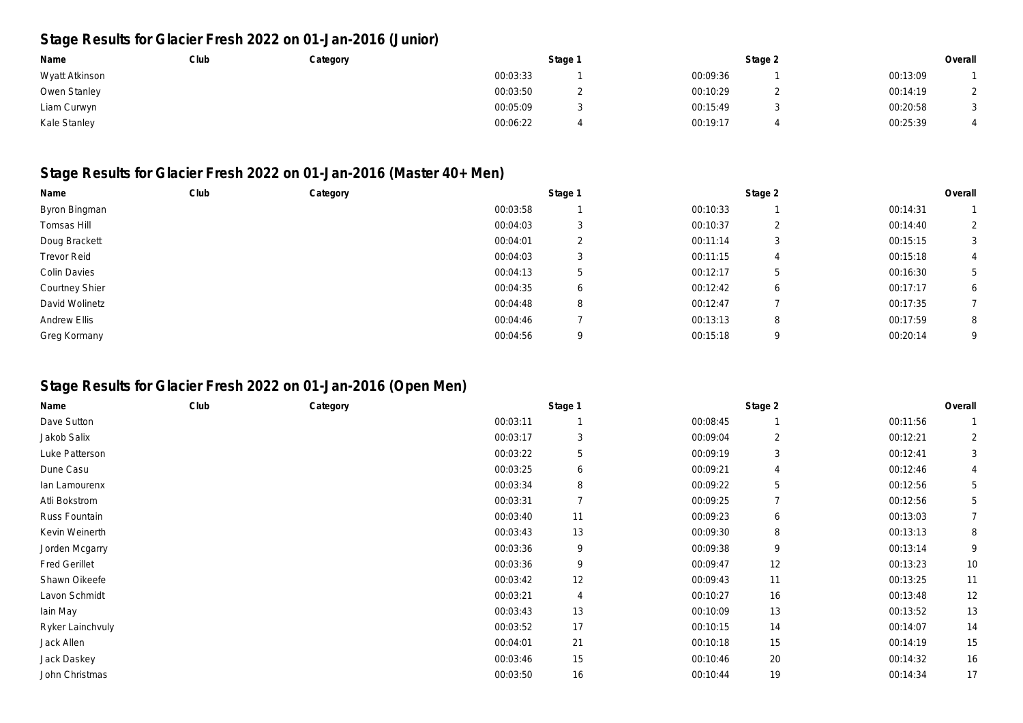## **Stage Results for Glacier Fresh 2022 on 01-Jan-2016 (Junior)**

| Name           | Club | Category | Stage 1  |  | Stage 2  |  | Overall  |  |
|----------------|------|----------|----------|--|----------|--|----------|--|
| Wyatt Atkinson |      |          | 00:03:33 |  | 00:09:36 |  | 00:13:09 |  |
| Owen Stanley   |      |          | 00:03:50 |  | 00:10:29 |  | 00:14:19 |  |
| Liam Curwyn    |      |          | 00:05:09 |  | 00:15:49 |  | 00:20:58 |  |
| Kale Stanley   |      |          | 00:06:22 |  | 00:19:17 |  | 00:25:39 |  |

## **Stage Results for Glacier Fresh 2022 on 01-Jan-2016 (Master 40+ Men)**

| Name                  | Club | Category | Stage 1  |          | Stage 2  |   | Overall  |                |
|-----------------------|------|----------|----------|----------|----------|---|----------|----------------|
| Byron Bingman         |      |          | 00:03:58 |          | 00:10:33 |   | 00:14:31 |                |
| Tomsas Hill           |      |          | 00:04:03 |          | 00:10:37 | ∠ | 00:14:40 | $\overline{2}$ |
| Doug Brackett         |      |          | 00:04:01 |          | 00:11:14 | 3 | 00:15:15 | 3              |
| <b>Trevor Reid</b>    |      |          | 00:04:03 |          | 00:11:15 |   | 00:15:18 |                |
| Colin Davies          |      |          | 00:04:13 | 5        | 00:12:17 | ა | 00:16:30 | 5              |
| <b>Courtney Shier</b> |      |          | 00:04:35 | ь        | 00:12:42 | 6 | 00:17:17 | 6              |
| David Wolinetz        |      |          | 00:04:48 | 8        | 00:12:47 |   | 00:17:35 |                |
| Andrew Ellis          |      |          | 00:04:46 |          | 00:13:13 | 8 | 00:17:59 | 8              |
| Greg Kormany          |      |          | 00:04:56 | $\Omega$ | 00:15:18 | q | 00:20:14 | 9              |

## **Stage Results for Glacier Fresh 2022 on 01-Jan-2016 (Open Men)**

| Name                 | Club | Category |          | Stage 1        |          | Stage 2        |          | Overall        |
|----------------------|------|----------|----------|----------------|----------|----------------|----------|----------------|
| Dave Sutton          |      |          | 00:03:11 |                | 00:08:45 |                | 00:11:56 |                |
| Jakob Salix          |      |          | 00:03:17 | 3              | 00:09:04 | 2              | 00:12:21 | 2              |
| Luke Patterson       |      |          | 00:03:22 | 5              | 00:09:19 | 3              | 00:12:41 | 3              |
| Dune Casu            |      |          | 00:03:25 | 6              | 00:09:21 | 4              | 00:12:46 | 4              |
| lan Lamourenx        |      |          | 00:03:34 | 8              | 00:09:22 | 5              | 00:12:56 | 5              |
| Atli Bokstrom        |      |          | 00:03:31 | $\overline{7}$ | 00:09:25 | $\overline{7}$ | 00:12:56 | 5              |
| Russ Fountain        |      |          | 00:03:40 | 11             | 00:09:23 | 6              | 00:13:03 | $\overline{7}$ |
| Kevin Weinerth       |      |          | 00:03:43 | 13             | 00:09:30 | 8              | 00:13:13 | 8              |
| Jorden Mcgarry       |      |          | 00:03:36 | 9              | 00:09:38 | 9              | 00:13:14 | 9              |
| <b>Fred Gerillet</b> |      |          | 00:03:36 | 9              | 00:09:47 | 12             | 00:13:23 | 10             |
| Shawn Oikeefe        |      |          | 00:03:42 | 12             | 00:09:43 | 11             | 00:13:25 | 11             |
| Lavon Schmidt        |      |          | 00:03:21 | 4              | 00:10:27 | 16             | 00:13:48 | 12             |
| lain May             |      |          | 00:03:43 | 13             | 00:10:09 | 13             | 00:13:52 | 13             |
| Ryker Lainchvuly     |      |          | 00:03:52 | 17             | 00:10:15 | 14             | 00:14:07 | 14             |
| Jack Allen           |      |          | 00:04:01 | 21             | 00:10:18 | 15             | 00:14:19 | 15             |
| Jack Daskey          |      |          | 00:03:46 | 15             | 00:10:46 | 20             | 00:14:32 | 16             |
| John Christmas       |      |          | 00:03:50 | 16             | 00:10:44 | 19             | 00:14:34 | 17             |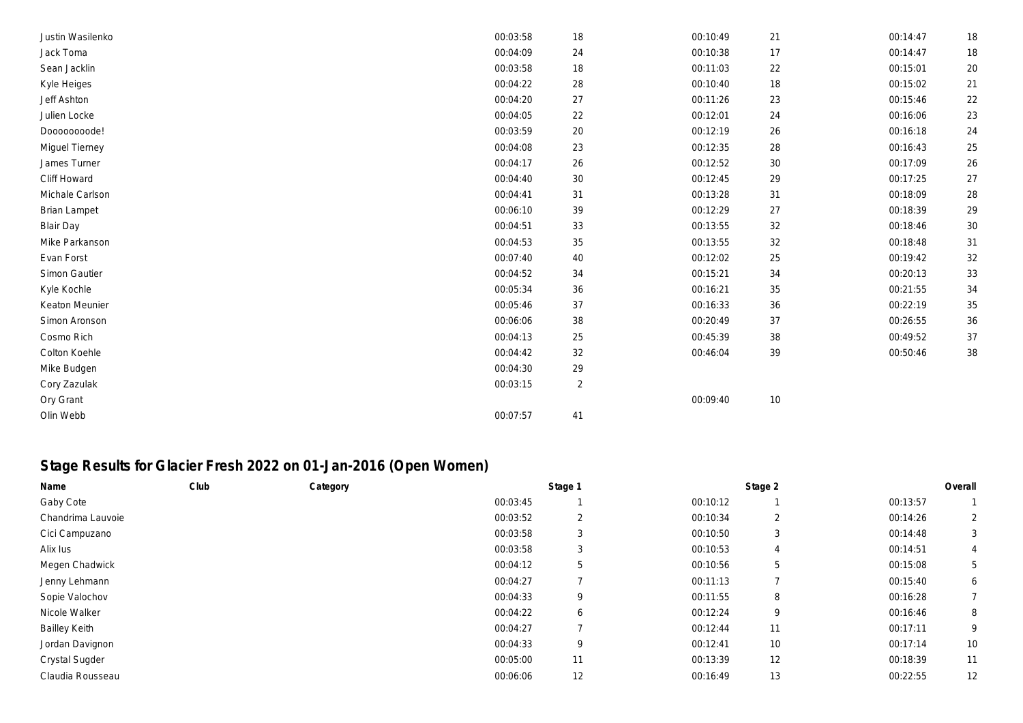| Justin Wasilenko    | 00:03:58 | 18             | 00:10:49 | 21 | 00:14:47 | 18 |
|---------------------|----------|----------------|----------|----|----------|----|
| Jack Toma           | 00:04:09 | 24             | 00:10:38 | 17 | 00:14:47 | 18 |
| Sean Jacklin        | 00:03:58 | 18             | 00:11:03 | 22 | 00:15:01 | 20 |
| Kyle Heiges         | 00:04:22 | 28             | 00:10:40 | 18 | 00:15:02 | 21 |
| Jeff Ashton         | 00:04:20 | 27             | 00:11:26 | 23 | 00:15:46 | 22 |
| Julien Locke        | 00:04:05 | 22             | 00:12:01 | 24 | 00:16:06 | 23 |
| Dooooooode!         | 00:03:59 | 20             | 00:12:19 | 26 | 00:16:18 | 24 |
| Miguel Tierney      | 00:04:08 | 23             | 00:12:35 | 28 | 00:16:43 | 25 |
| James Turner        | 00:04:17 | 26             | 00:12:52 | 30 | 00:17:09 | 26 |
| Cliff Howard        | 00:04:40 | 30             | 00:12:45 | 29 | 00:17:25 | 27 |
| Michale Carlson     | 00:04:41 | 31             | 00:13:28 | 31 | 00:18:09 | 28 |
| <b>Brian Lampet</b> | 00:06:10 | 39             | 00:12:29 | 27 | 00:18:39 | 29 |
| <b>Blair Day</b>    | 00:04:51 | 33             | 00:13:55 | 32 | 00:18:46 | 30 |
| Mike Parkanson      | 00:04:53 | 35             | 00:13:55 | 32 | 00:18:48 | 31 |
| Evan Forst          | 00:07:40 | 40             | 00:12:02 | 25 | 00:19:42 | 32 |
| Simon Gautier       | 00:04:52 | 34             | 00:15:21 | 34 | 00:20:13 | 33 |
| Kyle Kochle         | 00:05:34 | 36             | 00:16:21 | 35 | 00:21:55 | 34 |
| Keaton Meunier      | 00:05:46 | 37             | 00:16:33 | 36 | 00:22:19 | 35 |
| Simon Aronson       | 00:06:06 | 38             | 00:20:49 | 37 | 00:26:55 | 36 |
| Cosmo Rich          | 00:04:13 | 25             | 00:45:39 | 38 | 00:49:52 | 37 |
| Colton Koehle       | 00:04:42 | 32             | 00:46:04 | 39 | 00:50:46 | 38 |
| Mike Budgen         | 00:04:30 | 29             |          |    |          |    |
| Cory Zazulak        | 00:03:15 | $\overline{2}$ |          |    |          |    |
| Ory Grant           |          |                | 00:09:40 | 10 |          |    |
| Olin Webb           | 00:07:57 | 41             |          |    |          |    |

## **Stage Results for Glacier Fresh 2022 on 01-Jan-2016 (Open Women)**

| Name                  | Club | Category |          | Stage 1 |          | Stage 2 |          | Overall        |
|-----------------------|------|----------|----------|---------|----------|---------|----------|----------------|
| Gaby Cote             |      |          | 00:03:45 |         | 00:10:12 |         | 00:13:57 |                |
| Chandrima Lauvoie     |      |          | 00:03:52 | 2       | 00:10:34 | 2       | 00:14:26 | $\overline{2}$ |
| Cici Campuzano        |      |          | 00:03:58 | 3       | 00:10:50 | 3       | 00:14:48 | 3              |
| Alix lus              |      |          | 00:03:58 | 3       | 00:10:53 | 4       | 00:14:51 | 4              |
| Megen Chadwick        |      |          | 00:04:12 | 5       | 00:10:56 | 5       | 00:15:08 | 5              |
| Jenny Lehmann         |      |          | 00:04:27 |         | 00:11:13 |         | 00:15:40 | 6              |
| Sopie Valochov        |      |          | 00:04:33 | 9       | 00:11:55 | 8       | 00:16:28 |                |
| Nicole Walker         |      |          | 00:04:22 | 6       | 00:12:24 | 9       | 00:16:46 | 8              |
| <b>Bailley Keith</b>  |      |          | 00:04:27 |         | 00:12:44 | 11      | 00:17:11 | 9              |
| Jordan Davignon       |      |          | 00:04:33 | 9       | 00:12:41 | 10      | 00:17:14 | 10             |
| <b>Crystal Sugder</b> |      |          | 00:05:00 | 11      | 00:13:39 | 12      | 00:18:39 | 11             |
| Claudia Rousseau      |      |          | 00:06:06 | 12      | 00:16:49 | 13      | 00:22:55 | 12             |